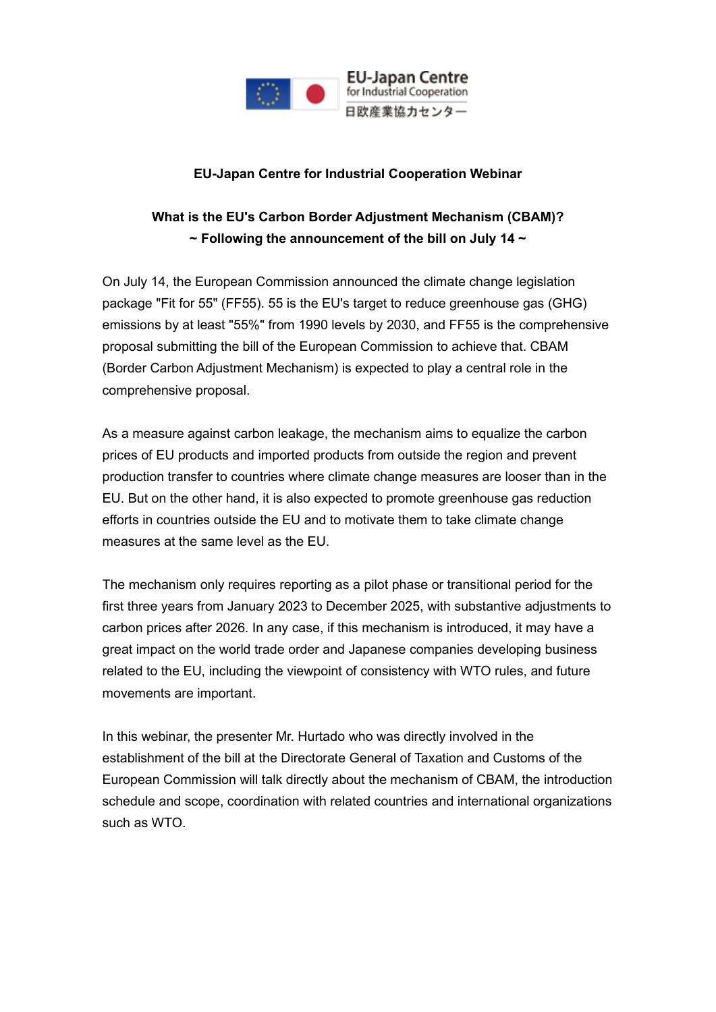

**EU-Japan Centre** for Industrial Cooperation 日欧産業協力センター

#### **EU-Japan Centre for Industrial Cooperation Webinar**

# **What is the EU's Carbon Border Adjustment Mechanism (CBAM)? ~ Following the announcement of the bill on July 14 ~**

On July 14, the European Commission announced the climate change legislation package "Fit for 55" (FF55). 55 is the EU's target to reduce greenhouse gas (GHG) emissions by at least "55%" from 1990 levels by 2030, and FF55 is the comprehensive proposal submitting the bill of the European Commission to achieve that. CBAM (Border Carbon Adjustment Mechanism) is expected to play a central role in the comprehensive proposal.

As a measure against carbon leakage, the mechanism aims to equalize the carbon prices of EU products and imported products from outside the region and prevent production transfer to countries where climate change measures are looser than in the EU. But on the other hand, it is also expected to promote greenhouse gas reduction efforts in countries outside the EU and to motivate them to take climate change measures at the same level as the EU.

The mechanism only requires reporting as a pilot phase or transitional period for the first three years from January 2023 to December 2025, with substantive adjustments to carbon prices after 2026. In any case, if this mechanism is introduced, it may have a great impact on the world trade order and Japanese companies developing business related to the EU, including the viewpoint of consistency with WTO rules, and future movements are important.

In this webinar, the presenter Mr. Hurtado who was directly involved in the establishment of the bill at the Directorate General of Taxation and Customs of the European Commission will talk directly about the mechanism of CBAM, the introduction schedule and scope, coordination with related countries and international organizations such as WTO.